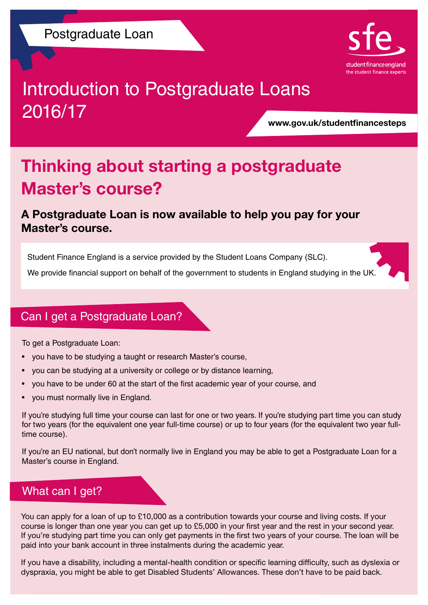

# Introduction to Postgraduate Loans 2016/17

www.gov.uk/studentfinancesteps

## Thinking about starting a postgraduate Master's course?

#### A Postgraduate Loan is now available to help you pay for your Master's course.

Student Finance England is a service provided by the Student Loans Company (SLC).

We provide financial support on behalf of the government to students in England studying in the UK.

#### Can I get a Postgraduate Loan?

To get a Postgraduate Loan:

- you have to be studying a taught or research Master's course,
- you can be studying at a university or college or by distance learning,
- you have to be under 60 at the start of the first academic year of your course, and
- you must normally live in England.

If you're studying full time your course can last for one or two years. If you're studying part time you can study for two years (for the equivalent one year full-time course) or up to four years (for the equivalent two year fulltime course).

If you're an EU national, but don't normally live in England you may be able to get a Postgraduate Loan for a Master's course in England.

#### What can I get?

You can apply for a loan of up to £10,000 as a contribution towards your course and living costs. If your course is longer than one year you can get up to £5,000 in your first year and the rest in your second year. If you're studying part time you can only get payments in the first two years of your course. The loan will be paid into your bank account in three instalments during the academic year.

If you have a disability, including a mental-health condition or specific learning difficulty, such as dyslexia or dyspraxia, you might be able to get Disabled Students' Allowances. These don't have to be paid back.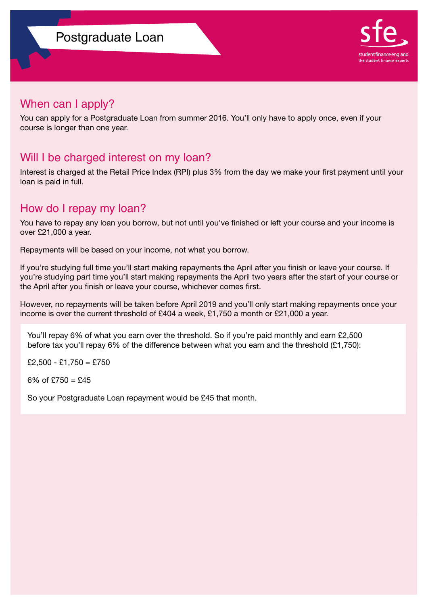

#### When can I apply?

You can apply for a Postgraduate Loan from summer 2016. You'll only have to apply once, even if your course is longer than one year.

#### Will I be charged interest on my loan?

Interest is charged at the Retail Price Index (RPI) plus 3% from the day we make your first payment until your loan is paid in full.

#### How do I repay my loan?

You have to repay any loan you borrow, but not until you've finished or left your course and your income is over £21,000 a year.

Repayments will be based on your income, not what you borrow.

If you're studying full time you'll start making repayments the April after you finish or leave your course. If you're studying part time you'll start making repayments the April two years after the start of your course or the April after you finish or leave your course, whichever comes first.

However, no repayments will be taken before April 2019 and you'll only start making repayments once your income is over the current threshold of £404 a week, £1,750 a month or £21,000 a year.

You'll repay 6% of what you earn over the threshold. So if you're paid monthly and earn £2,500 before tax you'll repay 6% of the difference between what you earn and the threshold (£1,750):

 $£2,500 - £1,750 = £750$ 

6% of  $£750 = £45$ 

So your Postgraduate Loan repayment would be £45 that month.